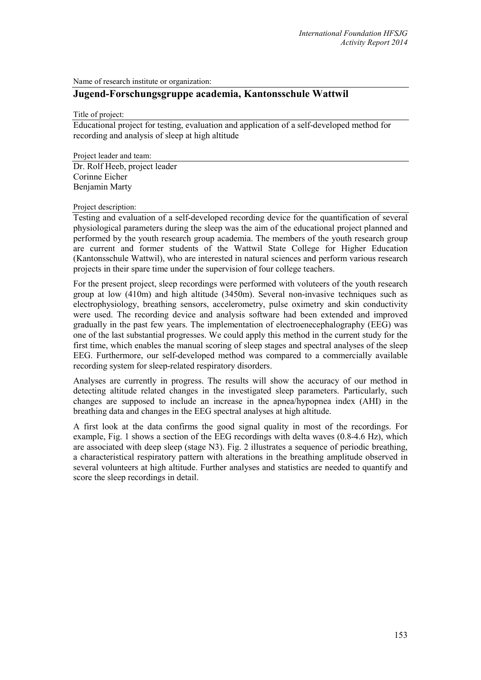Name of research institute or organization:

## **Jugend-Forschungsgruppe academia, Kantonsschule Wattwil**

Title of project:

Educational project for testing, evaluation and application of a self-developed method for recording and analysis of sleep at high altitude

Project leader and team: Dr. Rolf Heeb, project leader Corinne Eicher Benjamin Marty

## Project description:

Testing and evaluation of a self-developed recording device for the quantification of several physiological parameters during the sleep was the aim of the educational project planned and performed by the youth research group academia. The members of the youth research group are current and former students of the Wattwil State College for Higher Education (Kantonsschule Wattwil), who are interested in natural sciences and perform various research projects in their spare time under the supervision of four college teachers.

For the present project, sleep recordings were performed with voluteers of the youth research group at low (410m) and high altitude (3450m). Several non-invasive techniques such as electrophysiology, breathing sensors, accelerometry, pulse oximetry and skin conductivity were used. The recording device and analysis software had been extended and improved gradually in the past few years. The implementation of electroenecephalography (EEG) was one of the last substantial progresses. We could apply this method in the current study for the first time, which enables the manual scoring of sleep stages and spectral analyses of the sleep EEG. Furthermore, our self-developed method was compared to a commercially available recording system for sleep-related respiratory disorders.

Analyses are currently in progress. The results will show the accuracy of our method in detecting altitude related changes in the investigated sleep parameters. Particularly, such changes are supposed to include an increase in the apnea/hypopnea index (AHI) in the breathing data and changes in the EEG spectral analyses at high altitude.

A first look at the data confirms the good signal quality in most of the recordings. For example, Fig. 1 shows a section of the EEG recordings with delta waves (0.8-4.6 Hz), which are associated with deep sleep (stage N3). Fig. 2 illustrates a sequence of periodic breathing, a characteristical respiratory pattern with alterations in the breathing amplitude observed in several volunteers at high altitude. Further analyses and statistics are needed to quantify and score the sleep recordings in detail.